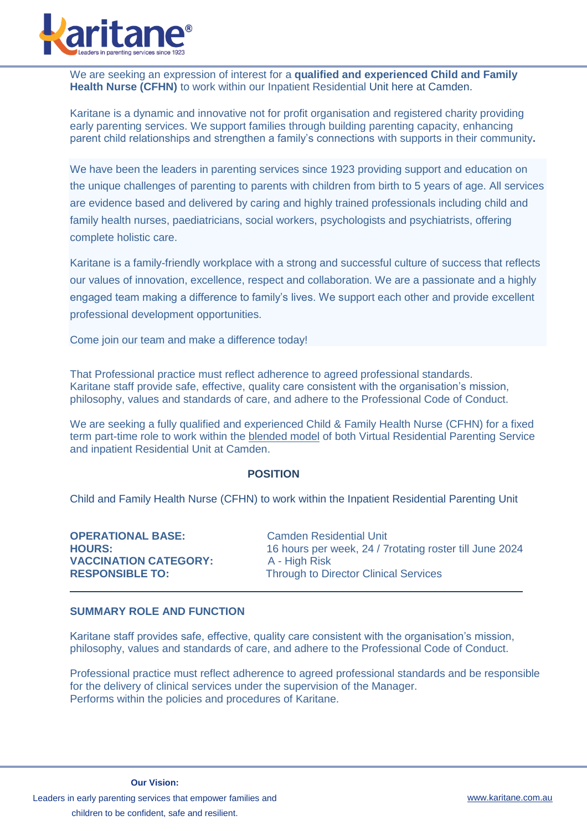

We are seeking an expression of interest for a **qualified and experienced Child and Family Health Nurse (CFHN)** to work within our Inpatient Residential Unit here at Camden.

Karitane is a dynamic and innovative not for profit organisation and registered charity providing early parenting services. We support families through building parenting capacity, enhancing parent child relationships and strengthen a family's connections with supports in their community**.**

We have been the leaders in parenting services since 1923 providing support and education on the unique challenges of parenting to parents with children from birth to 5 years of age. All services are evidence based and delivered by caring and highly trained professionals including child and family health nurses, paediatricians, social workers, psychologists and psychiatrists, offering complete holistic care.

Karitane is a family-friendly workplace with a strong and successful culture of success that reflects our values of innovation, excellence, respect and collaboration. We are a passionate and a highly engaged team making a difference to family's lives. We support each other and provide excellent professional development opportunities.

Come join our team and make a difference today!

That Professional practice must reflect adherence to agreed professional standards. Karitane staff provide safe, effective, quality care consistent with the organisation's mission, philosophy, values and standards of care, and adhere to the Professional Code of Conduct.

We are seeking a fully qualified and experienced Child & Family Health Nurse (CFHN) for a fixed term part-time role to work within the blended model of both Virtual Residential Parenting Service and inpatient Residential Unit at Camden.

#### **POSITION**

Child and Family Health Nurse (CFHN) to work within the Inpatient Residential Parenting Unit

| <b>OPERATIONAL BASE:</b>     | <b>Camden Residential Unit</b>                           |
|------------------------------|----------------------------------------------------------|
| <b>HOURS:</b>                | 16 hours per week, 24 / 7 rotating roster till June 2024 |
| <b>VACCINATION CATEGORY:</b> | A - High Risk                                            |
| <b>RESPONSIBLE TO:</b>       | <b>Through to Director Clinical Services</b>             |

#### **SUMMARY ROLE AND FUNCTION**

Karitane staff provides safe, effective, quality care consistent with the organisation's mission, philosophy, values and standards of care, and adhere to the Professional Code of Conduct.

Professional practice must reflect adherence to agreed professional standards and be responsible for the delivery of clinical services under the supervision of the Manager. Performs within the policies and procedures of Karitane.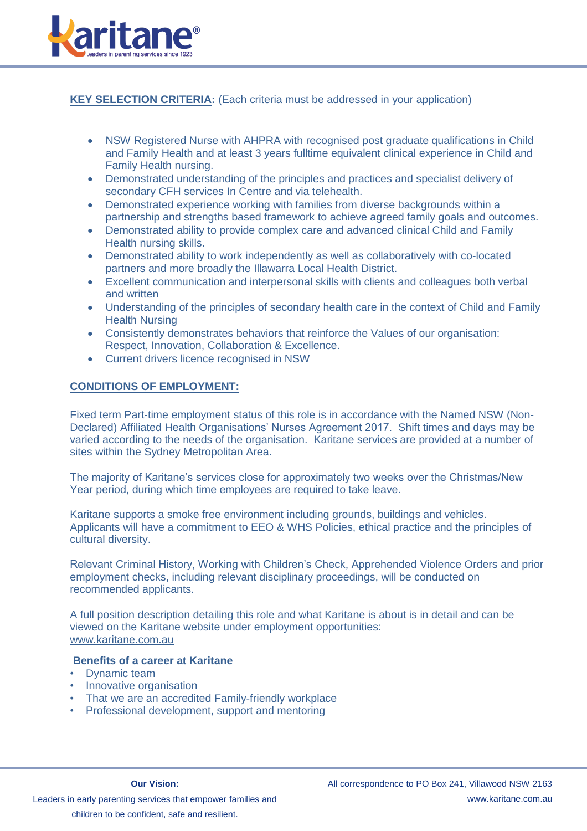

# **KEY SELECTION CRITERIA:** (Each criteria must be addressed in your application)

- NSW Registered Nurse with AHPRA with recognised post graduate qualifications in Child and Family Health and at least 3 years fulltime equivalent clinical experience in Child and Family Health nursing.
- Demonstrated understanding of the principles and practices and specialist delivery of secondary CFH services In Centre and via telehealth.
- Demonstrated experience working with families from diverse backgrounds within a partnership and strengths based framework to achieve agreed family goals and outcomes.
- Demonstrated ability to provide complex care and advanced clinical Child and Family Health nursing skills.
- Demonstrated ability to work independently as well as collaboratively with co-located partners and more broadly the Illawarra Local Health District.
- Excellent communication and interpersonal skills with clients and colleagues both verbal and written
- Understanding of the principles of secondary health care in the context of Child and Family Health Nursing
- Consistently demonstrates behaviors that reinforce the Values of our organisation: Respect, Innovation, Collaboration & Excellence.
- Current drivers licence recognised in NSW

## **CONDITIONS OF EMPLOYMENT:**

Fixed term Part-time employment status of this role is in accordance with the Named NSW (Non-Declared) Affiliated Health Organisations' Nurses Agreement 2017. Shift times and days may be varied according to the needs of the organisation. Karitane services are provided at a number of sites within the Sydney Metropolitan Area.

The majority of Karitane's services close for approximately two weeks over the Christmas/New Year period, during which time employees are required to take leave.

Karitane supports a smoke free environment including grounds, buildings and vehicles. Applicants will have a commitment to EEO & WHS Policies, ethical practice and the principles of cultural diversity.

Relevant Criminal History, Working with Children's Check, Apprehended Violence Orders and prior employment checks, including relevant disciplinary proceedings, will be conducted on recommended applicants.

A full position description detailing this role and what Karitane is about is in detail and can be viewed on the Karitane website under employment opportunities: [www.karitane.com.au](http://www.karitane.org.au/)

## **Benefits of a career at Karitane**

- Dynamic team
- Innovative organisation
- That we are an accredited Family-friendly workplace
- Professional development, support and mentoring